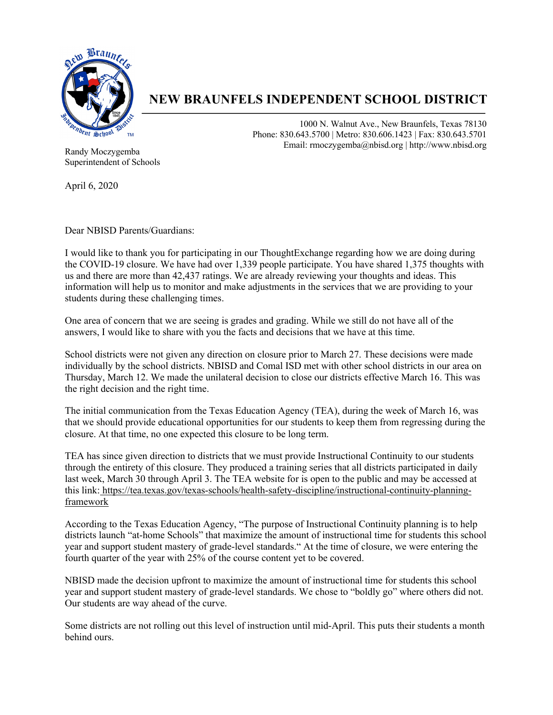

## **NEW BRAUNFELS INDEPENDENT SCHOOL DISTRICT**

1000 N. Walnut Ave., New Braunfels, Texas 78130 Phone: 830.643.5700 | Metro: 830.606.1423 | Fax: 830.643.5701 Email: rmoczygemba@nbisd.org | http://www.nbisd.org

Randy Moczygemba Superintendent of Schools

April 6, 2020

Dear NBISD Parents/Guardians:

I would like to thank you for participating in our ThoughtExchange regarding how we are doing during the COVID-19 closure. We have had over 1,339 people participate. You have shared 1,375 thoughts with us and there are more than 42,437 ratings. We are already reviewing your thoughts and ideas. This information will help us to monitor and make adjustments in the services that we are providing to your students during these challenging times.

One area of concern that we are seeing is grades and grading. While we still do not have all of the answers, I would like to share with you the facts and decisions that we have at this time.

School districts were not given any direction on closure prior to March 27. These decisions were made individually by the school districts. NBISD and Comal ISD met with other school districts in our area on Thursday, March 12. We made the unilateral decision to close our districts effective March 16. This was the right decision and the right time.

The initial communication from the Texas Education Agency (TEA), during the week of March 16, was that we should provide educational opportunities for our students to keep them from regressing during the closure. At that time, no one expected this closure to be long term.

TEA has since given direction to districts that we must provide Instructional Continuity to our students through the entirety of this closure. They produced a training series that all districts participated in daily last week, March 30 through April 3. The TEA website for is open to the public and may be accessed at this link: https://tea.texas.gov/texas-schools/health-safety-discipline/instructional-continuity-planningframework

According to the Texas Education Agency, "The purpose of Instructional Continuity planning is to help districts launch "at-home Schools" that maximize the amount of instructional time for students this school year and support student mastery of grade-level standards." At the time of closure, we were entering the fourth quarter of the year with 25% of the course content yet to be covered.

NBISD made the decision upfront to maximize the amount of instructional time for students this school year and support student mastery of grade-level standards. We chose to "boldly go" where others did not. Our students are way ahead of the curve.

Some districts are not rolling out this level of instruction until mid-April. This puts their students a month behind ours.